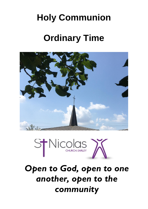# **Holy Communion**

# **Ordinary Time**





*Open to God, open to one another, open to the community*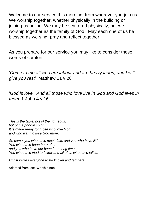Welcome to our service this morning, from wherever you join us. We worship together, whether physically in the building or joining us online. We may be scattered physically, but we worship together as the family of God. May each one of us be blessed as we sing, pray and reflect together.

As you prepare for our service you may like to consider these words of comfort:

'*Come to me all who are labour and are heavy laden, and I will give you rest'* Matthew 11 v 28

'*God is love. And all those who love live in God and God lives in them'* 1 John 4 v 16

*This is the table, not of the righteous, but of the poor in spirit. It is made ready for those who love God and who want to love God more.*

*So come, you who have much faith and you who have little, You who have been here often and you who have not been for a long time, You who have tried to follow and all of us who have failed.*

*Christ invites everyone to be known and fed here.'*

Adapted from Iona Worship Book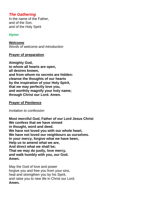# *The Gathering*

In the name of the Father, and of the Son, and of the Holy Spirit

# *Hymn*

**Welcome** *Words of welcome and introduction* 

#### **Prayer of preparation**

**Almighty God, to whom all hearts are open, all desires known, and from whom no secrets are hidden: cleanse the thoughts of our hearts by the inspiration of your Holy Spirit, that we may perfectly love you, and worthily magnify your holy name; through Christ our Lord. Amen.**

### **Prayer of Penitence**

*Invitation to confession*

**Most merciful God, Father of our Lord Jesus Christ We confess that we have sinned in thought, word and deed. We have not loved you with our whole heart, We have not loved our neighbours as ourselves. In your mercy, forgive what we have been, Help us to amend what we are, And direct what we shall be; That we may do justly, love mercy, and walk humbly with you, our God. Amen.**

May the God of love and power forgive you and free you from your sins, heal and strengthen you by his Spirit, and raise you to new life in Christ our Lord. **Amen.**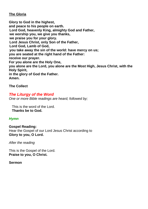### **The Gloria**

**Glory to God in the highest, and peace to his people on earth. Lord God, heavenly King, almighty God and Father, we worship you, we give you thanks, we praise you for your glory. Lord Jesus Christ, only Son of the Father, Lord God, Lamb of God, you take away the sin of the world: have mercy on us; you are seated at the right hand of the Father: receive our prayer. For you alone are the Holy One, you alone are the Lord, you alone are the Most High, Jesus Christ, with the Holy Spirit, in the glory of God the Father. Amen.**

**The Collect**

# *The Liturgy of the Word One or more Bible readings are heard, followed by;*

This is the word of the Lord. **Thanks be to God.**

# *Hymn*

**Gospel Reading:**  Hear the Gospel of our Lord Jesus Christ according to **Glory to you, O Lord.**

*After the reading*

This is the Gospel of the Lord. **Praise to you, O Christ.**

#### **Sermon**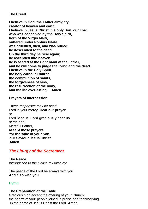# **The Creed**

**I believe in God, the Father almighty, creator of heaven and earth. I believe in Jesus Christ, his only Son, our Lord, who was conceived by the Holy Spirit, born of the Virgin Mary, suffered under Pontius Pilate, was crucified, died, and was buried; he descended to the dead. On the third day he rose again; he ascended into heaven, he is seated at the right hand of the Father, and he will come to judge the living and the dead. I believe in the Holy Spirit, the holy catholic Church, the communion of saints, the forgiveness of sins, the resurrection of the body, and the life everlasting. Amen.**

#### **Prayers of Intercession**

*These responses may be used:* Lord in your mercy **Hear our prayer** *or* Lord hear us **Lord graciously hear us** *at the end:* Merciful Father, **accept these prayers for the sake of your Son, our Saviour Jesus Christ. Amen.**

# *The Liturgy of the Sacrament*

**The Peace** *Introduction to the Peace followed by:*

The peace of the Lord be always with you **And also with you**

# *Hymn*

#### **The Preparation of the Table**

Gracious God accept the offering of your Church; the hearts of your people joined in praise and thanksgiving. In the name of Jesus Christ the Lord **Amen**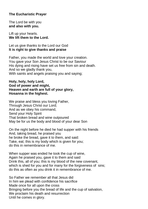# **The Eucharistic Prayer**

The Lord be with you **and also with you.**

Lift up your hearts. **We lift them to the Lord.**

Let us give thanks to the Lord our God **It is right to give thanks and praise**

Father, you made the world and love your creation. You gave your Son Jesus Christ to be our Saviour His dying and rising have set us free from sin and death. And so we gladly thank you, With saints and angels praising you and saying;

#### **Holy, holy, holy Lord, God of power and might, Heaven and earth are full of your glory, Hosanna in the highest.**

We praise and bless you loving Father, Through Jesus Christ our Lord; And as we obey his command, Send your Holy Spirit That broken bread and wine outpoured May be for us the body and blood of your dear Son

On the night before he died he had supper with his friends And, taking bread, he praised you he broke the bread, gave it to them, and said: Take, eat; this is my body which is given for you; do this in remembrance of me.

When supper was ended he took the cup of wine, Again he praised you, gave it to them and said Drink this, all of you; this is my blood of the new covenant, which is shed for you and for many for the forgiveness of sins; do this as often as you drink it in remembrance of me.

So Father we remember all that Jesus did In him we plead with confidence his sacrifice Made once for all upon the cross Bringing before you the bread of life and the cup of salvation, We proclaim his death and resurrection Until he comes in glory.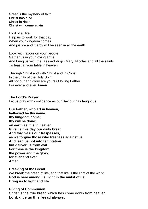Great is the mystery of faith **Christ has died Christ is risen Christ will come again**

Lord of all life, Help us to work for that day When your kingdom comes And justice and mercy will be seen in all the earth

Look with favour on your people Gather us in your loving arms And bring us with the Blessed Virgin Mary, Nicolas and all the saints To feast at your table in heaven

Through Christ and with Christ and in Christ In the unity of the Holy Spirit All honour and glory are yours O loving Father For ever and ever **Amen**

**The Lord's Prayer** Let us pray with confidence as our Saviour has taught us:

**Our Father, who art in heaven, hallowed be thy name; thy kingdom come; thy will be done; on earth as it is in heaven. Give us this day our daily bread. And forgive us our trespasses, as we forgive those who trespass against us. And lead us not into temptation; but deliver us from evil. For thine is the kingdom, the power and the glory, for ever and ever. Amen.**

#### **Breaking of the Bread**

We break the bread of life, and that life is the light of the world **God is here among us, light in the midst of us, Bring us to light and life**

#### **Giving of Communion**

Christ is the true bread which has come down from heaven. **Lord, give us this bread always.**